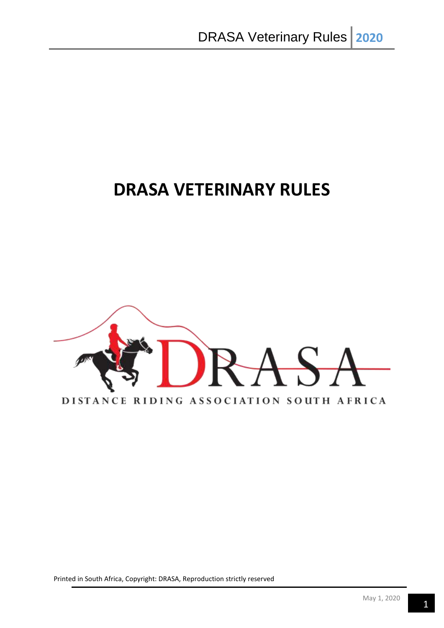# **DRASA VETERINARY RULES**

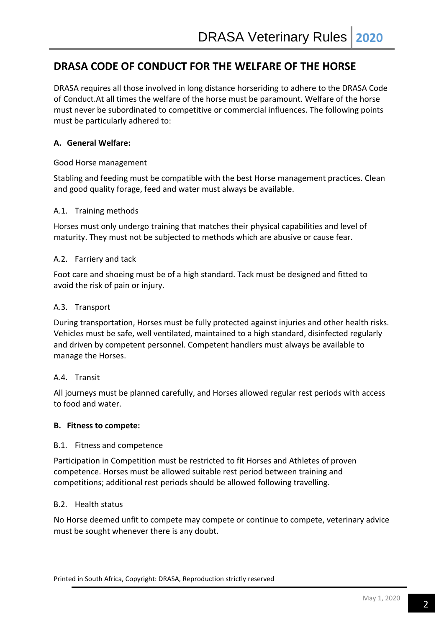# **DRASA CODE OF CONDUCT FOR THE WELFARE OF THE HORSE**

DRASA requires all those involved in long distance horseriding to adhere to the DRASA Code of Conduct.At all times the welfare of the horse must be paramount. Welfare of the horse must never be subordinated to competitive or commercial influences. The following points must be particularly adhered to:

# **A. General Welfare:**

# Good Horse management

Stabling and feeding must be compatible with the best Horse management practices. Clean and good quality forage, feed and water must always be available.

# A.1. Training methods

Horses must only undergo training that matches their physical capabilities and level of maturity. They must not be subjected to methods which are abusive or cause fear.

#### A.2. Farriery and tack

Foot care and shoeing must be of a high standard. Tack must be designed and fitted to avoid the risk of pain or injury.

#### A.3. Transport

During transportation, Horses must be fully protected against injuries and other health risks. Vehicles must be safe, well ventilated, maintained to a high standard, disinfected regularly and driven by competent personnel. Competent handlers must always be available to manage the Horses.

#### A.4. Transit

All journeys must be planned carefully, and Horses allowed regular rest periods with access to food and water.

#### **B. Fitness to compete:**

#### B.1. Fitness and competence

Participation in Competition must be restricted to fit Horses and Athletes of proven competence. Horses must be allowed suitable rest period between training and competitions; additional rest periods should be allowed following travelling.

#### B.2. Health status

No Horse deemed unfit to compete may compete or continue to compete, veterinary advice must be sought whenever there is any doubt.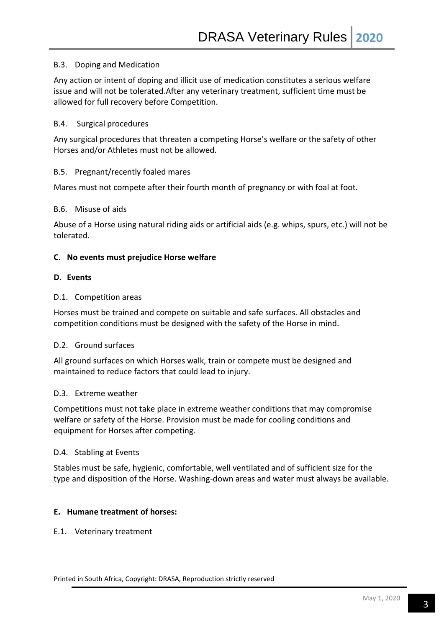#### B.3. Doping and Medication

Any action or intent of doping and illicit use of medication constitutes a serious welfare issue and will not be tolerated.After any veterinary treatment, sufficient time must be allowed for full recovery before Competition.

#### B.4. Surgical procedures

Any surgical procedures that threaten a competing Horse's welfare or the safety of other Horses and/or Athletes must not be allowed.

#### B.5. Pregnant/recently foaled mares

Mares must not compete after their fourth month of pregnancy or with foal at foot.

#### B.6. Misuse of aids

Abuse of a Horse using natural riding aids or artificial aids (e.g. whips, spurs, etc.) will not be tolerated.

#### **C. No events must prejudice Horse welfare**

#### **D. Events**

#### D.1. Competition areas

Horses must be trained and compete on suitable and safe surfaces. All obstacles and competition conditions must be designed with the safety of the Horse in mind.

#### D.2. Ground surfaces

All ground surfaces on which Horses walk, train or compete must be designed and maintained to reduce factors that could lead to injury.

#### D.3. Extreme weather

Competitions must not take place in extreme weather conditions that may compromise welfare or safety of the Horse. Provision must be made for cooling conditions and equipment for Horses after competing.

#### D.4. Stabling at Events

Stables must be safe, hygienic, comfortable, well ventilated and of sufficient size for the type and disposition of the Horse. Washing-down areas and water must always be available.

#### **E. Humane treatment of horses:**

#### E.1. Veterinary treatment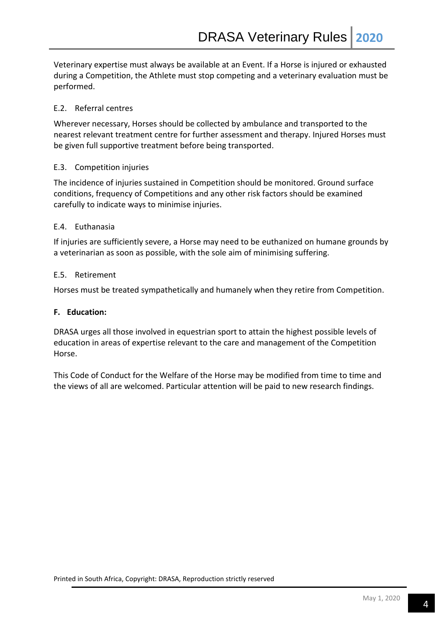Veterinary expertise must always be available at an Event. If a Horse is injured or exhausted during a Competition, the Athlete must stop competing and a veterinary evaluation must be performed.

# E.2. Referral centres

Wherever necessary, Horses should be collected by ambulance and transported to the nearest relevant treatment centre for further assessment and therapy. Injured Horses must be given full supportive treatment before being transported.

# E.3. Competition injuries

The incidence of injuries sustained in Competition should be monitored. Ground surface conditions, frequency of Competitions and any other risk factors should be examined carefully to indicate ways to minimise injuries.

# E.4. Euthanasia

If injuries are sufficiently severe, a Horse may need to be euthanized on humane grounds by a veterinarian as soon as possible, with the sole aim of minimising suffering.

# E.5. Retirement

Horses must be treated sympathetically and humanely when they retire from Competition.

# **F. Education:**

DRASA urges all those involved in equestrian sport to attain the highest possible levels of education in areas of expertise relevant to the care and management of the Competition Horse.

This Code of Conduct for the Welfare of the Horse may be modified from time to time and the views of all are welcomed. Particular attention will be paid to new research findings.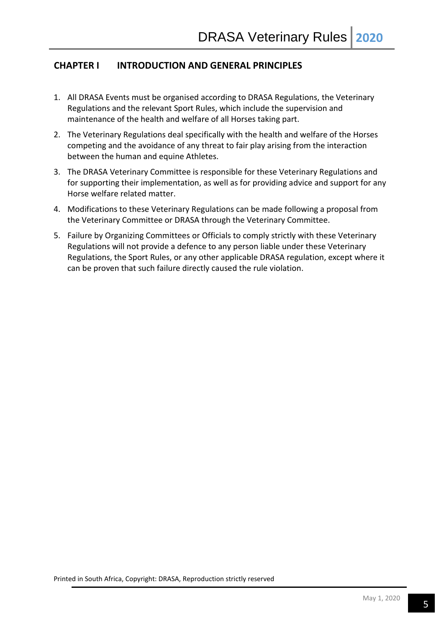# **CHAPTER I INTRODUCTION AND GENERAL PRINCIPLES**

- 1. All DRASA Events must be organised according to DRASA Regulations, the Veterinary Regulations and the relevant Sport Rules, which include the supervision and maintenance of the health and welfare of all Horses taking part.
- 2. The Veterinary Regulations deal specifically with the health and welfare of the Horses competing and the avoidance of any threat to fair play arising from the interaction between the human and equine Athletes.
- 3. The DRASA Veterinary Committee is responsible for these Veterinary Regulations and for supporting their implementation, as well as for providing advice and support for any Horse welfare related matter.
- 4. Modifications to these Veterinary Regulations can be made following a proposal from the Veterinary Committee or DRASA through the Veterinary Committee.
- 5. Failure by Organizing Committees or Officials to comply strictly with these Veterinary Regulations will not provide a defence to any person liable under these Veterinary Regulations, the Sport Rules, or any other applicable DRASA regulation, except where it can be proven that such failure directly caused the rule violation.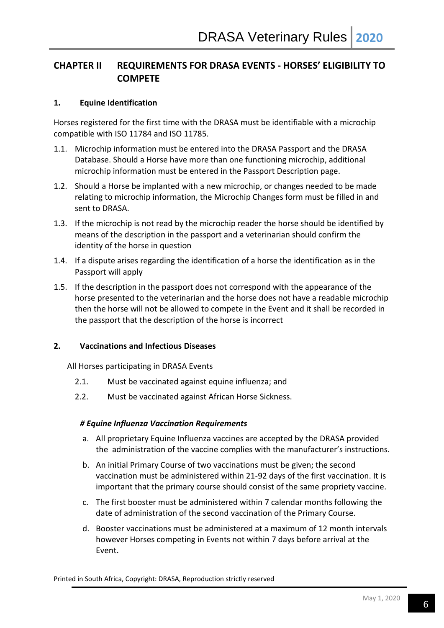# **CHAPTER II REQUIREMENTS FOR DRASA EVENTS - HORSES' ELIGIBILITY TO COMPETE**

# **1. Equine Identification**

Horses registered for the first time with the DRASA must be identifiable with a microchip compatible with ISO 11784 and ISO 11785.

- 1.1. Microchip information must be entered into the DRASA Passport and the DRASA Database. Should a Horse have more than one functioning microchip, additional microchip information must be entered in the Passport Description page.
- 1.2. Should a Horse be implanted with a new microchip, or changes needed to be made relating to microchip information, the Microchip Changes form must be filled in and sent to DRASA.
- 1.3. If the microchip is not read by the microchip reader the horse should be identified by means of the description in the passport and a veterinarian should confirm the identity of the horse in question
- 1.4. If a dispute arises regarding the identification of a horse the identification as in the Passport will apply
- 1.5. If the description in the passport does not correspond with the appearance of the horse presented to the veterinarian and the horse does not have a readable microchip then the horse will not be allowed to compete in the Event and it shall be recorded in the passport that the description of the horse is incorrect

# **2. Vaccinations and Infectious Diseases**

All Horses participating in DRASA Events

- 2.1. Must be vaccinated against equine influenza; and
- 2.2. Must be vaccinated against African Horse Sickness.

# *# Equine Influenza Vaccination Requirements*

- a. All proprietary Equine Influenza vaccines are accepted by the DRASA provided the administration of the vaccine complies with the manufacturer's instructions.
- b. An initial Primary Course of two vaccinations must be given; the second vaccination must be administered within 21-92 days of the first vaccination. It is important that the primary course should consist of the same propriety vaccine.
- c. The first booster must be administered within 7 calendar months following the date of administration of the second vaccination of the Primary Course.
- d. Booster vaccinations must be administered at a maximum of 12 month intervals however Horses competing in Events not within 7 days before arrival at the Event.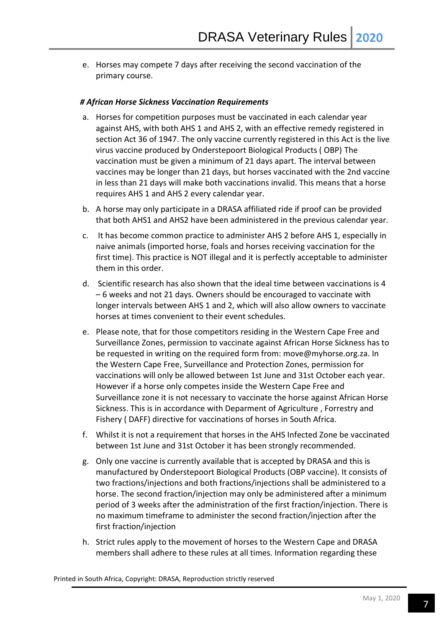e. Horses may compete 7 days after receiving the second vaccination of the primary course.

# *# African Horse Sickness Vaccination Requirements*

- a. Horses for competition purposes must be vaccinated in each calendar year against AHS, with both AHS 1 and AHS 2, with an effective remedy registered in section Act 36 of 1947. The only vaccine currently registered in this Act is the live virus vaccine produced by Onderstepoort Biological Products ( OBP) The vaccination must be given a minimum of 21 days apart. The interval between vaccines may be longer than 21 days, but horses vaccinated with the 2nd vaccine in less than 21 days will make both vaccinations invalid. This means that a horse requires AHS 1 and AHS 2 every calendar year.
- b. A horse may only participate in a DRASA affiliated ride if proof can be provided that both AHS1 and AHS2 have been administered in the previous calendar year.
- c. It has become common practice to administer AHS 2 before AHS 1, especially in naive animals (imported horse, foals and horses receiving vaccination for the first time). This practice is NOT illegal and it is perfectly acceptable to administer them in this order.
- d. Scientific research has also shown that the ideal time between vaccinations is 4 – 6 weeks and not 21 days. Owners should be encouraged to vaccinate with longer intervals between AHS 1 and 2, which will also allow owners to vaccinate horses at times convenient to their event schedules.
- e. Please note, that for those competitors residing in the Western Cape Free and Surveillance Zones, permission to vaccinate against African Horse Sickness has to be requested in writing on the required form from: move@myhorse.org.za. In the Western Cape Free, Surveillance and Protection Zones, permission for vaccinations will only be allowed between 1st June and 31st October each year. However if a horse only competes inside the Western Cape Free and Surveillance zone it is not necessary to vaccinate the horse against African Horse Sickness. This is in accordance with Deparment of Agriculture , Forrestry and Fishery ( DAFF) directive for vaccinations of horses in South Africa.
- f. Whilst it is not a requirement that horses in the AHS Infected Zone be vaccinated between 1st June and 31st October it has been strongly recommended.
- g. Only one vaccine is currently available that is accepted by DRASA and this is manufactured by Onderstepoort Biological Products (OBP vaccine). It consists of two fractions/injections and both fractions/injections shall be administered to a horse. The second fraction/injection may only be administered after a minimum period of 3 weeks after the administration of the first fraction/injection. There is no maximum timeframe to administer the second fraction/injection after the first fraction/injection
- h. Strict rules apply to the movement of horses to the Western Cape and DRASA members shall adhere to these rules at all times. Information regarding these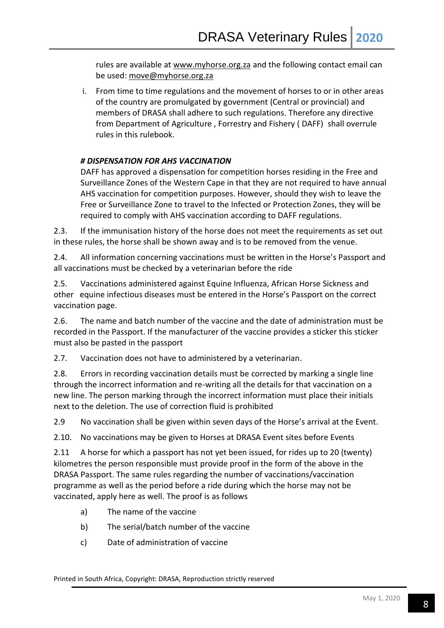rules are available at [www.myhorse.org.za](http://www.myhorse.org.za/) and the following contact email can be used: [move@myhorse.org.za](mailto:move@myhorse.org.za)

i. From time to time regulations and the movement of horses to or in other areas of the country are promulgated by government (Central or provincial) and members of DRASA shall adhere to such regulations. Therefore any directive from Department of Agriculture , Forrestry and Fishery ( DAFF) shall overrule rules in this rulebook.

# *# DISPENSATION FOR AHS VACCINATION*

DAFF has approved a dispensation for competition horses residing in the Free and Surveillance Zones of the Western Cape in that they are not required to have annual AHS vaccination for competition purposes. However, should they wish to leave the Free or Surveillance Zone to travel to the Infected or Protection Zones, they will be required to comply with AHS vaccination according to DAFF regulations.

2.3. If the immunisation history of the horse does not meet the requirements as set out in these rules, the horse shall be shown away and is to be removed from the venue.

2.4. All information concerning vaccinations must be written in the Horse's Passport and all vaccinations must be checked by a veterinarian before the ride

2.5. Vaccinations administered against Equine Influenza, African Horse Sickness and other equine infectious diseases must be entered in the Horse's Passport on the correct vaccination page.

2.6. The name and batch number of the vaccine and the date of administration must be recorded in the Passport. If the manufacturer of the vaccine provides a sticker this sticker must also be pasted in the passport

2.7. Vaccination does not have to administered by a veterinarian.

2.8. Errors in recording vaccination details must be corrected by marking a single line through the incorrect information and re-writing all the details for that vaccination on a new line. The person marking through the incorrect information must place their initials next to the deletion. The use of correction fluid is prohibited

2.9 No vaccination shall be given within seven days of the Horse's arrival at the Event.

2.10. No vaccinations may be given to Horses at DRASA Event sites before Events

2.11 A horse for which a passport has not yet been issued, for rides up to 20 (twenty) kilometres the person responsible must provide proof in the form of the above in the DRASA Passport. The same rules regarding the number of vaccinations/vaccination programme as well as the period before a ride during which the horse may not be vaccinated, apply here as well. The proof is as follows

- a) The name of the vaccine
- b) The serial/batch number of the vaccine
- c) Date of administration of vaccine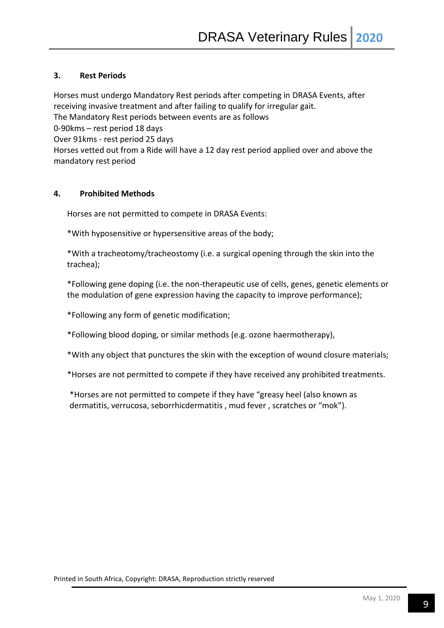# **3. Rest Periods**

Horses must undergo Mandatory Rest periods after competing in DRASA Events, after receiving invasive treatment and after failing to qualify for irregular gait.

The Mandatory Rest periods between events are as follows

0-90kms – rest period 18 days

Over 91kms - rest period 25 days

Horses vetted out from a Ride will have a 12 day rest period applied over and above the mandatory rest period

# **4. Prohibited Methods**

Horses are not permitted to compete in DRASA Events:

\*With hyposensitive or hypersensitive areas of the body;

\*With a tracheotomy/tracheostomy (i.e. a surgical opening through the skin into the trachea);

\*Following gene doping (i.e. the non-therapeutic use of cells, genes, genetic elements or the modulation of gene expression having the capacity to improve performance);

\*Following any form of genetic modification;

\*Following blood doping, or similar methods (e.g. ozone haermotherapy),

\*With any object that punctures the skin with the exception of wound closure materials;

\*Horses are not permitted to compete if they have received any prohibited treatments.

\*Horses are not permitted to compete if they have "greasy heel (also known as dermatitis, verrucosa, seborrhicdermatitis , mud fever , scratches or "mok").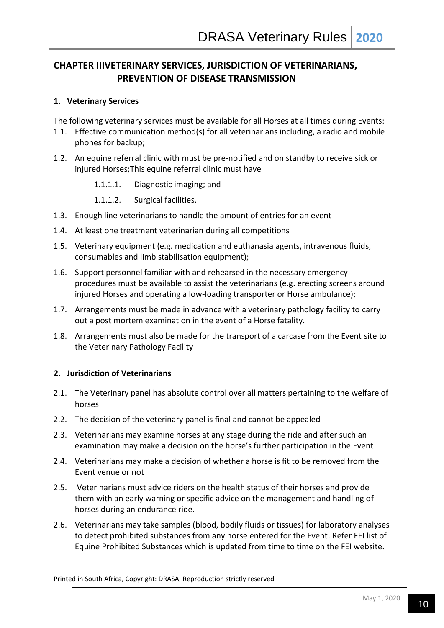# **CHAPTER IIIVETERINARY SERVICES, JURISDICTION OF VETERINARIANS, PREVENTION OF DISEASE TRANSMISSION**

# **1. Veterinary Services**

The following veterinary services must be available for all Horses at all times during Events:

- 1.1. Effective communication method(s) for all veterinarians including, a radio and mobile phones for backup;
- 1.2. An equine referral clinic with must be pre-notified and on standby to receive sick or injured Horses;This equine referral clinic must have
	- 1.1.1.1. Diagnostic imaging; and
	- 1.1.1.2. Surgical facilities.
- 1.3. Enough line veterinarians to handle the amount of entries for an event
- 1.4. At least one treatment veterinarian during all competitions
- 1.5. Veterinary equipment (e.g. medication and euthanasia agents, intravenous fluids, consumables and limb stabilisation equipment);
- 1.6. Support personnel familiar with and rehearsed in the necessary emergency procedures must be available to assist the veterinarians (e.g. erecting screens around injured Horses and operating a low-loading transporter or Horse ambulance);
- 1.7. Arrangements must be made in advance with a veterinary pathology facility to carry out a post mortem examination in the event of a Horse fatality.
- 1.8. Arrangements must also be made for the transport of a carcase from the Event site to the Veterinary Pathology Facility

# **2. Jurisdiction of Veterinarians**

- 2.1. The Veterinary panel has absolute control over all matters pertaining to the welfare of horses
- 2.2. The decision of the veterinary panel is final and cannot be appealed
- 2.3. Veterinarians may examine horses at any stage during the ride and after such an examination may make a decision on the horse's further participation in the Event
- 2.4. Veterinarians may make a decision of whether a horse is fit to be removed from the Event venue or not
- 2.5. Veterinarians must advice riders on the health status of their horses and provide them with an early warning or specific advice on the management and handling of horses during an endurance ride.
- 2.6. Veterinarians may take samples (blood, bodily fluids or tissues) for laboratory analyses to detect prohibited substances from any horse entered for the Event. Refer FEI list of Equine Prohibited Substances which is updated from time to time on the FEI website.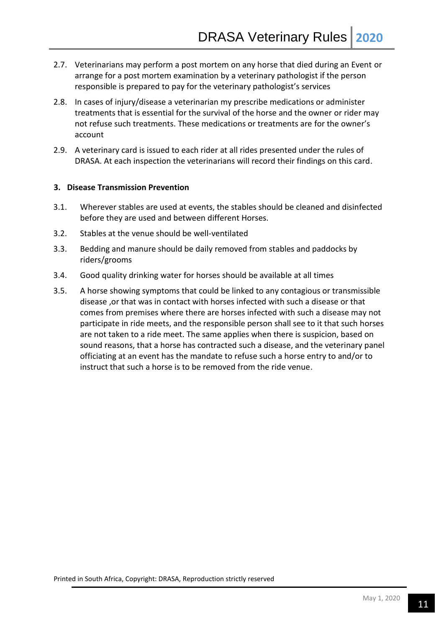- 2.7. Veterinarians may perform a post mortem on any horse that died during an Event or arrange for a post mortem examination by a veterinary pathologist if the person responsible is prepared to pay for the veterinary pathologist's services
- 2.8. In cases of injury/disease a veterinarian my prescribe medications or administer treatments that is essential for the survival of the horse and the owner or rider may not refuse such treatments. These medications or treatments are for the owner's account
- 2.9. A veterinary card is issued to each rider at all rides presented under the rules of DRASA. At each inspection the veterinarians will record their findings on this card.

# **3. Disease Transmission Prevention**

- 3.1. Wherever stables are used at events, the stables should be cleaned and disinfected before they are used and between different Horses.
- 3.2. Stables at the venue should be well-ventilated
- 3.3. Bedding and manure should be daily removed from stables and paddocks by riders/grooms
- 3.4. Good quality drinking water for horses should be available at all times
- 3.5. A horse showing symptoms that could be linked to any contagious or transmissible disease ,or that was in contact with horses infected with such a disease or that comes from premises where there are horses infected with such a disease may not participate in ride meets, and the responsible person shall see to it that such horses are not taken to a ride meet. The same applies when there is suspicion, based on sound reasons, that a horse has contracted such a disease, and the veterinary panel officiating at an event has the mandate to refuse such a horse entry to and/or to instruct that such a horse is to be removed from the ride venue.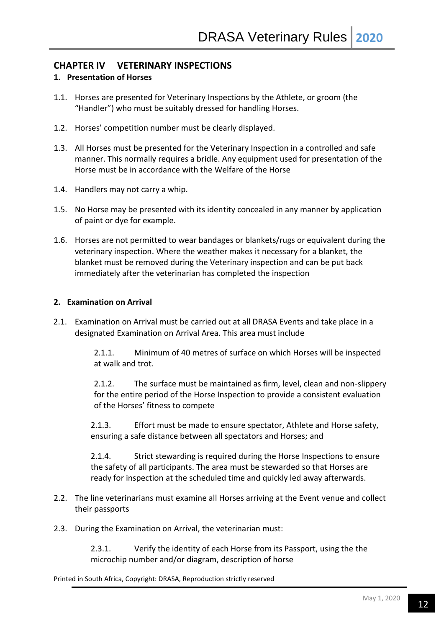# **CHAPTER IV VETERINARY INSPECTIONS**

# **1. Presentation of Horses**

- 1.1. Horses are presented for Veterinary Inspections by the Athlete, or groom (the "Handler") who must be suitably dressed for handling Horses.
- 1.2. Horses' competition number must be clearly displayed.
- 1.3. All Horses must be presented for the Veterinary Inspection in a controlled and safe manner. This normally requires a bridle. Any equipment used for presentation of the Horse must be in accordance with the Welfare of the Horse
- 1.4. Handlers may not carry a whip.
- 1.5. No Horse may be presented with its identity concealed in any manner by application of paint or dye for example.
- 1.6. Horses are not permitted to wear bandages or blankets/rugs or equivalent during the veterinary inspection. Where the weather makes it necessary for a blanket, the blanket must be removed during the Veterinary inspection and can be put back immediately after the veterinarian has completed the inspection

# **2. Examination on Arrival**

2.1. Examination on Arrival must be carried out at all DRASA Events and take place in a designated Examination on Arrival Area. This area must include

> 2.1.1. Minimum of 40 metres of surface on which Horses will be inspected at walk and trot.

2.1.2. The surface must be maintained as firm, level, clean and non-slippery for the entire period of the Horse Inspection to provide a consistent evaluation of the Horses' fitness to compete

2.1.3. Effort must be made to ensure spectator, Athlete and Horse safety, ensuring a safe distance between all spectators and Horses; and

2.1.4. Strict stewarding is required during the Horse Inspections to ensure the safety of all participants. The area must be stewarded so that Horses are ready for inspection at the scheduled time and quickly led away afterwards.

- 2.2. The line veterinarians must examine all Horses arriving at the Event venue and collect their passports
- 2.3. During the Examination on Arrival, the veterinarian must:

2.3.1. Verify the identity of each Horse from its Passport, using the the microchip number and/or diagram, description of horse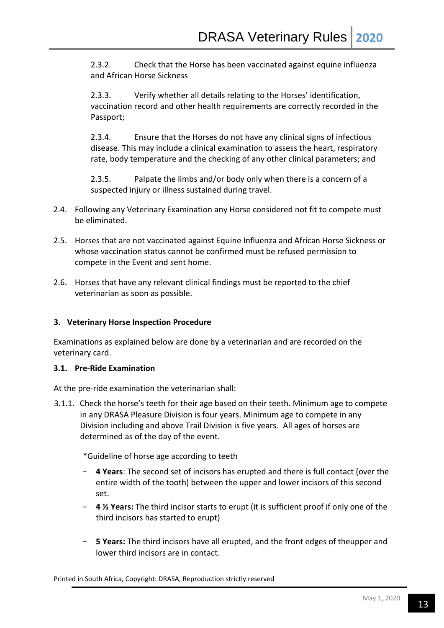2.3.2. Check that the Horse has been vaccinated against equine influenza and African Horse Sickness

2.3.3. Verify whether all details relating to the Horses' identification, vaccination record and other health requirements are correctly recorded in the Passport;

2.3.4. Ensure that the Horses do not have any clinical signs of infectious disease. This may include a clinical examination to assess the heart, respiratory rate, body temperature and the checking of any other clinical parameters; and

2.3.5. Palpate the limbs and/or body only when there is a concern of a suspected injury or illness sustained during travel.

- 2.4. Following any Veterinary Examination any Horse considered not fit to compete must be eliminated.
- 2.5. Horses that are not vaccinated against Equine Influenza and African Horse Sickness or whose vaccination status cannot be confirmed must be refused permission to compete in the Event and sent home.
- 2.6. Horses that have any relevant clinical findings must be reported to the chief veterinarian as soon as possible.

# **3. Veterinary Horse Inspection Procedure**

Examinations as explained below are done by a veterinarian and are recorded on the veterinary card.

# **3.1. Pre-Ride Examination**

At the pre-ride examination the veterinarian shall:

3.1.1. Check the horse's teeth for their age based on their teeth. Minimum age to compete in any DRASA Pleasure Division is four years. Minimum age to compete in any Division including and above Trail Division is five years. All ages of horses are determined as of the day of the event.

\*Guideline of horse age according to teeth

- − **4 Years**: The second set of incisors has erupted and there is full contact (over the entire width of the tooth) between the upper and lower incisors of this second set.
- − **4 ½ Years:** The third incisor starts to erupt (it is sufficient proof if only one of the third incisors has started to erupt)
- − **5 Years:** The third incisors have all erupted, and the front edges of theupper and lower third incisors are in contact.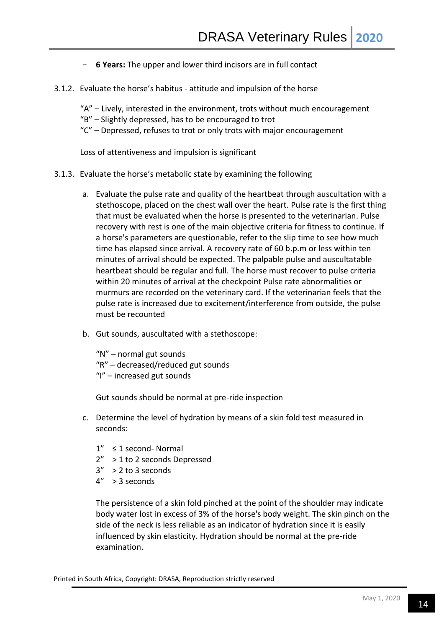- − **6 Years:** The upper and lower third incisors are in full contact
- 3.1.2. Evaluate the horse's habitus attitude and impulsion of the horse

"A" – Lively, interested in the environment, trots without much encouragement

- "B" Slightly depressed, has to be encouraged to trot
- "C" Depressed, refuses to trot or only trots with major encouragement

Loss of attentiveness and impulsion is significant

- 3.1.3. Evaluate the horse's metabolic state by examining the following
	- a. Evaluate the pulse rate and quality of the heartbeat through auscultation with a stethoscope, placed on the chest wall over the heart. Pulse rate is the first thing that must be evaluated when the horse is presented to the veterinarian. Pulse recovery with rest is one of the main objective criteria for fitness to continue. If a horse's parameters are questionable, refer to the slip time to see how much time has elapsed since arrival. A recovery rate of 60 b.p.m or less within ten minutes of arrival should be expected. The palpable pulse and auscultatable heartbeat should be regular and full. The horse must recover to pulse criteria within 20 minutes of arrival at the checkpoint Pulse rate abnormalities or murmurs are recorded on the veterinary card. If the veterinarian feels that the pulse rate is increased due to excitement/interference from outside, the pulse must be recounted
	- b. Gut sounds, auscultated with a stethoscope:

"N" – normal gut sounds "R" – decreased/reduced gut sounds "I" – increased gut sounds

Gut sounds should be normal at pre-ride inspection

- c. Determine the level of hydration by means of a skin fold test measured in seconds:
	- 1" ≤ 1 second- Normal
	- 2" > 1 to 2 seconds Depressed
	- $3''$  > 2 to 3 seconds
	- $4'' > 3$  seconds

The persistence of a skin fold pinched at the point of the shoulder may indicate body water lost in excess of 3% of the horse's body weight. The skin pinch on the side of the neck is less reliable as an indicator of hydration since it is easily influenced by skin elasticity. Hydration should be normal at the pre-ride examination.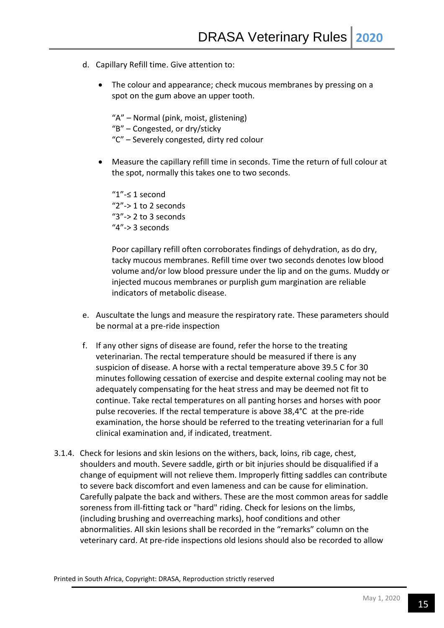- d. Capillary Refill time. Give attention to:
	- The colour and appearance; check mucous membranes by pressing on a spot on the gum above an upper tooth.
		- "A" Normal (pink, moist, glistening)
		- "B" Congested, or dry/sticky
		- "C" Severely congested, dirty red colour
	- Measure the capillary refill time in seconds. Time the return of full colour at the spot, normally this takes one to two seconds.

"1"-≤ 1 second "2"-> 1 to 2 seconds "3"-> 2 to 3 seconds " $4"$ -> 3 seconds

Poor capillary refill often corroborates findings of dehydration, as do dry, tacky mucous membranes. Refill time over two seconds denotes low blood volume and/or low blood pressure under the lip and on the gums. Muddy or injected mucous membranes or purplish gum margination are reliable indicators of metabolic disease.

- e. Auscultate the lungs and measure the respiratory rate. These parameters should be normal at a pre-ride inspection
- f. If any other signs of disease are found, refer the horse to the treating veterinarian. The rectal temperature should be measured if there is any suspicion of disease. A horse with a rectal temperature above 39.5 C for 30 minutes following cessation of exercise and despite external cooling may not be adequately compensating for the heat stress and may be deemed not fit to continue. Take rectal temperatures on all panting horses and horses with poor pulse recoveries. If the rectal temperature is above 38,4°C at the pre-ride examination, the horse should be referred to the treating veterinarian for a full clinical examination and, if indicated, treatment.
- 3.1.4. Check for lesions and skin lesions on the withers, back, loins, rib cage, chest, shoulders and mouth. Severe saddle, girth or bit injuries should be disqualified if a change of equipment will not relieve them. Improperly fitting saddles can contribute to severe back discomfort and even lameness and can be cause for elimination. Carefully palpate the back and withers. These are the most common areas for saddle soreness from ill-fitting tack or "hard" riding. Check for lesions on the limbs, (including brushing and overreaching marks), hoof conditions and other abnormalities. All skin lesions shall be recorded in the "remarks" column on the veterinary card. At pre-ride inspections old lesions should also be recorded to allow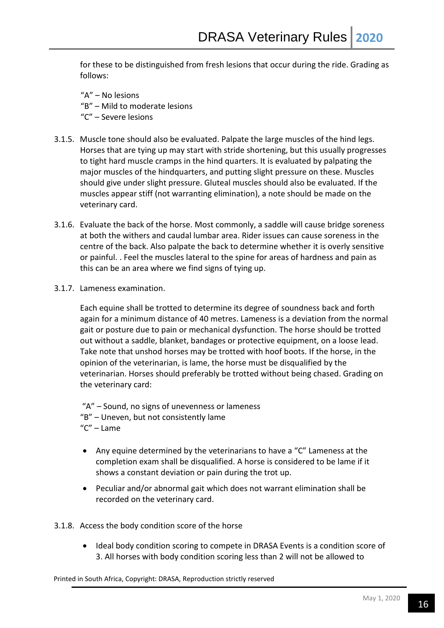for these to be distinguished from fresh lesions that occur during the ride. Grading as follows:

"A" – No lesions "B" – Mild to moderate lesions "C" – Severe lesions

- 3.1.5. Muscle tone should also be evaluated. Palpate the large muscles of the hind legs. Horses that are tying up may start with stride shortening, but this usually progresses to tight hard muscle cramps in the hind quarters. It is evaluated by palpating the major muscles of the hindquarters, and putting slight pressure on these. Muscles should give under slight pressure. Gluteal muscles should also be evaluated. If the muscles appear stiff (not warranting elimination), a note should be made on the veterinary card.
- 3.1.6. Evaluate the back of the horse. Most commonly, a saddle will cause bridge soreness at both the withers and caudal lumbar area. Rider issues can cause soreness in the centre of the back. Also palpate the back to determine whether it is overly sensitive or painful. . Feel the muscles lateral to the spine for areas of hardness and pain as this can be an area where we find signs of tying up.
- 3.1.7. Lameness examination.

Each equine shall be trotted to determine its degree of soundness back and forth again for a minimum distance of 40 metres. Lameness is a deviation from the normal gait or posture due to pain or mechanical dysfunction. The horse should be trotted out without a saddle, blanket, bandages or protective equipment, on a loose lead. Take note that unshod horses may be trotted with hoof boots. If the horse, in the opinion of the veterinarian, is lame, the horse must be disqualified by the veterinarian. Horses should preferably be trotted without being chased. Grading on the veterinary card:

"A" – Sound, no signs of unevenness or lameness "B" – Uneven, but not consistently lame "C" – Lame

- Any equine determined by the veterinarians to have a "C" Lameness at the completion exam shall be disqualified. A horse is considered to be lame if it shows a constant deviation or pain during the trot up.
- Peculiar and/or abnormal gait which does not warrant elimination shall be recorded on the veterinary card.

3.1.8. Access the body condition score of the horse

 Ideal body condition scoring to compete in DRASA Events is a condition score of 3. All horses with body condition scoring less than 2 will not be allowed to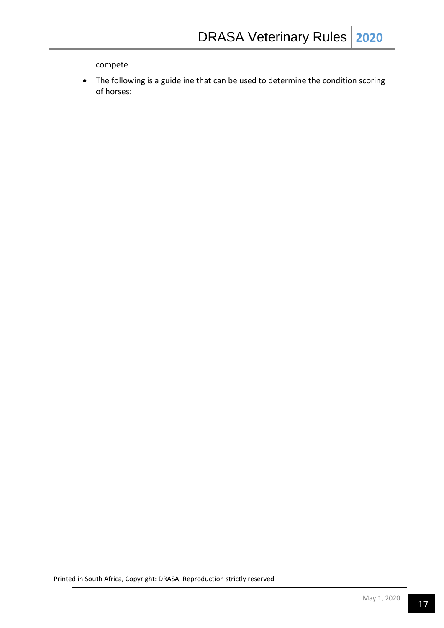compete

 The following is a guideline that can be used to determine the condition scoring of horses: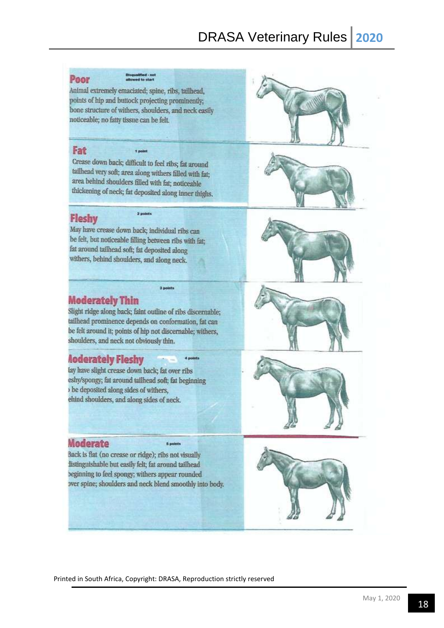# Poor

Animal extremely emaciated; spine, ribs, tailhead, points of hip and buttock projecting prominently; bone structure of withers, shoulders, and neck easily noticeable; no fatty tissue can be felt.

#### Fat

in

Crease down back; difficult to feel ribs; fat around tailhead very soft; area along withers filled with fat; area behind shoulders filled with fat; noticeable thickening of neck; fat deposited along inner thighs.

2 points

# **Fleshy**

May have crease down back; individual ribs can be felt, but noticeable filling between ribs with fat; fat around tailhead soft; fat deposited along withers, behind shoulders, and along neck.







# **Moderately Thin**

Slight ridge along back; faint outline of ribs discernable; tailhead prominence depends on conformation, fat can be felt around it; points of hip not discernable; withers, shoulders, and neck not obviously thin.

3 points

4 points

# **Aoderately Fleshy**

lay have slight crease down back; fat over ribs eshy/spongy; fat around tailhead soft; fat beginning be deposited along sides of withers, ehind shoulders, and along sides of neck.

# Moderate

Back is flat (no crease or ridge); ribs not visually listinguishable but easily felt; fat around tailhead beginning to feel spongy; withers appear rounded over spine; shoulders and neck blend smoothly into body.

5 pol





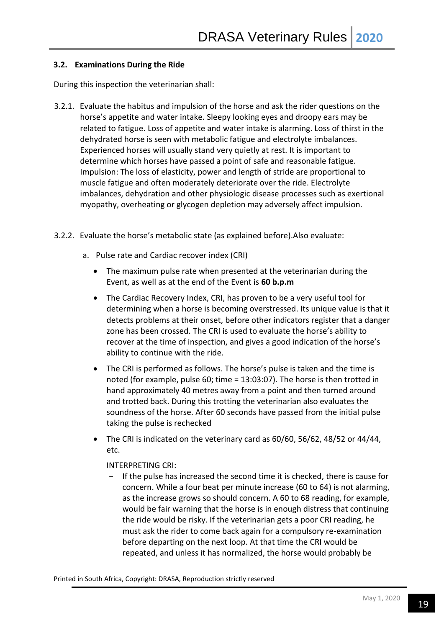# **3.2. Examinations During the Ride**

During this inspection the veterinarian shall:

- 3.2.1. Evaluate the habitus and impulsion of the horse and ask the rider questions on the horse's appetite and water intake. Sleepy looking eyes and droopy ears may be related to fatigue. Loss of appetite and water intake is alarming. Loss of thirst in the dehydrated horse is seen with metabolic fatigue and electrolyte imbalances. Experienced horses will usually stand very quietly at rest. It is important to determine which horses have passed a point of safe and reasonable fatigue. Impulsion: The loss of elasticity, power and length of stride are proportional to muscle fatigue and often moderately deteriorate over the ride. Electrolyte imbalances, dehydration and other physiologic disease processes such as exertional myopathy, overheating or glycogen depletion may adversely affect impulsion.
- 3.2.2. Evaluate the horse's metabolic state (as explained before).Also evaluate:
	- a. Pulse rate and Cardiac recover index (CRI)
		- The maximum pulse rate when presented at the veterinarian during the Event, as well as at the end of the Event is **60 b.p.m**
		- The Cardiac Recovery Index, CRI, has proven to be a very useful tool for determining when a horse is becoming overstressed. Its unique value is that it detects problems at their onset, before other indicators register that a danger zone has been crossed. The CRI is used to evaluate the horse's ability to recover at the time of inspection, and gives a good indication of the horse's ability to continue with the ride.
		- The CRI is performed as follows. The horse's pulse is taken and the time is noted (for example, pulse 60; time = 13:03:07). The horse is then trotted in hand approximately 40 metres away from a point and then turned around and trotted back. During this trotting the veterinarian also evaluates the soundness of the horse. After 60 seconds have passed from the initial pulse taking the pulse is rechecked
		- The CRI is indicated on the veterinary card as 60/60, 56/62, 48/52 or 44/44, etc.

# INTERPRETING CRI:

If the pulse has increased the second time it is checked, there is cause for concern. While a four beat per minute increase (60 to 64) is not alarming, as the increase grows so should concern. A 60 to 68 reading, for example, would be fair warning that the horse is in enough distress that continuing the ride would be risky. If the veterinarian gets a poor CRI reading, he must ask the rider to come back again for a compulsory re-examination before departing on the next loop. At that time the CRI would be repeated, and unless it has normalized, the horse would probably be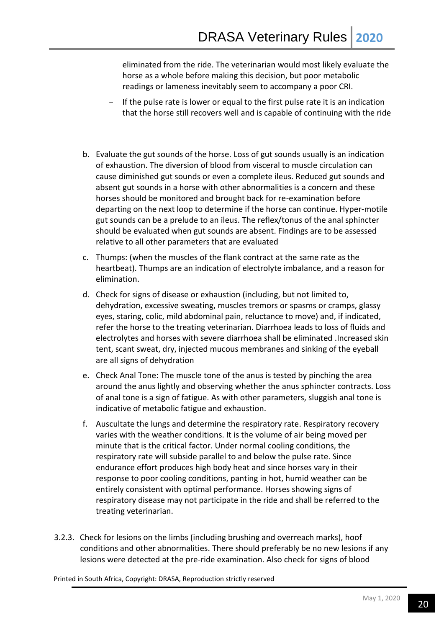eliminated from the ride. The veterinarian would most likely evaluate the horse as a whole before making this decision, but poor metabolic readings or lameness inevitably seem to accompany a poor CRI.

- If the pulse rate is lower or equal to the first pulse rate it is an indication that the horse still recovers well and is capable of continuing with the ride
- b. Evaluate the gut sounds of the horse. Loss of gut sounds usually is an indication of exhaustion. The diversion of blood from visceral to muscle circulation can cause diminished gut sounds or even a complete ileus. Reduced gut sounds and absent gut sounds in a horse with other abnormalities is a concern and these horses should be monitored and brought back for re-examination before departing on the next loop to determine if the horse can continue. Hyper-motile gut sounds can be a prelude to an ileus. The reflex/tonus of the anal sphincter should be evaluated when gut sounds are absent. Findings are to be assessed relative to all other parameters that are evaluated
- c. Thumps: (when the muscles of the flank contract at the same rate as the heartbeat). Thumps are an indication of electrolyte imbalance, and a reason for elimination.
- d. Check for signs of disease or exhaustion (including, but not limited to, dehydration, excessive sweating, muscles tremors or spasms or cramps, glassy eyes, staring, colic, mild abdominal pain, reluctance to move) and, if indicated, refer the horse to the treating veterinarian. Diarrhoea leads to loss of fluids and electrolytes and horses with severe diarrhoea shall be eliminated .Increased skin tent, scant sweat, dry, injected mucous membranes and sinking of the eyeball are all signs of dehydration
- e. Check Anal Tone: The muscle tone of the anus is tested by pinching the area around the anus lightly and observing whether the anus sphincter contracts. Loss of anal tone is a sign of fatigue. As with other parameters, sluggish anal tone is indicative of metabolic fatigue and exhaustion.
- f. Auscultate the lungs and determine the respiratory rate. Respiratory recovery varies with the weather conditions. It is the volume of air being moved per minute that is the critical factor. Under normal cooling conditions, the respiratory rate will subside parallel to and below the pulse rate. Since endurance effort produces high body heat and since horses vary in their response to poor cooling conditions, panting in hot, humid weather can be entirely consistent with optimal performance. Horses showing signs of respiratory disease may not participate in the ride and shall be referred to the treating veterinarian.
- 3.2.3. Check for lesions on the limbs (including brushing and overreach marks), hoof conditions and other abnormalities. There should preferably be no new lesions if any lesions were detected at the pre-ride examination. Also check for signs of blood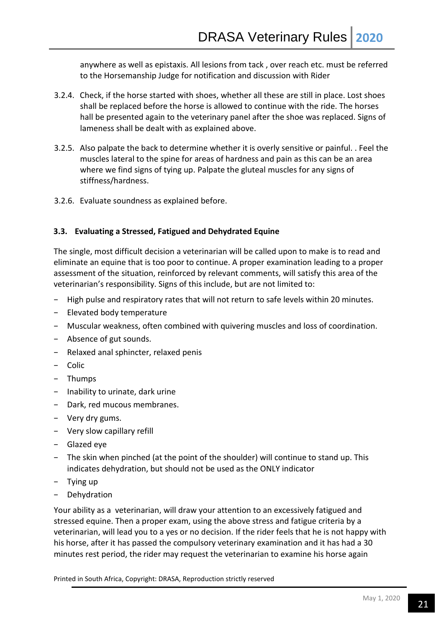anywhere as well as epistaxis. All lesions from tack , over reach etc. must be referred to the Horsemanship Judge for notification and discussion with Rider

- 3.2.4. Check, if the horse started with shoes, whether all these are still in place. Lost shoes shall be replaced before the horse is allowed to continue with the ride. The horses hall be presented again to the veterinary panel after the shoe was replaced. Signs of lameness shall be dealt with as explained above.
- 3.2.5. Also palpate the back to determine whether it is overly sensitive or painful. . Feel the muscles lateral to the spine for areas of hardness and pain as this can be an area where we find signs of tying up. Palpate the gluteal muscles for any signs of stiffness/hardness.
- 3.2.6. Evaluate soundness as explained before.

#### **3.3. Evaluating a Stressed, Fatigued and Dehydrated Equine**

The single, most difficult decision a veterinarian will be called upon to make is to read and eliminate an equine that is too poor to continue. A proper examination leading to a proper assessment of the situation, reinforced by relevant comments, will satisfy this area of the veterinarian's responsibility. Signs of this include, but are not limited to:

- − High pulse and respiratory rates that will not return to safe levels within 20 minutes.
- − Elevated body temperature
- − Muscular weakness, often combined with quivering muscles and loss of coordination.
- − Absence of gut sounds.
- − Relaxed anal sphincter, relaxed penis
- − Colic
- − Thumps
- − Inability to urinate, dark urine
- − Dark, red mucous membranes.
- − Very dry gums.
- − Very slow capillary refill
- − Glazed eye
- − The skin when pinched (at the point of the shoulder) will continue to stand up. This indicates dehydration, but should not be used as the ONLY indicator
- − Tying up
- − Dehydration

Your ability as a veterinarian, will draw your attention to an excessively fatigued and stressed equine. Then a proper exam, using the above stress and fatigue criteria by a veterinarian, will lead you to a yes or no decision. If the rider feels that he is not happy with his horse, after it has passed the compulsory veterinary examination and it has had a 30 minutes rest period, the rider may request the veterinarian to examine his horse again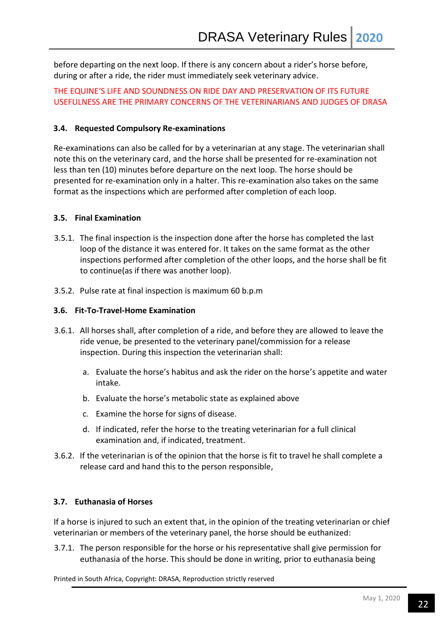before departing on the next loop. If there is any concern about a rider's horse before, during or after a ride, the rider must immediately seek veterinary advice.

THE EQUINE'S LIFE AND SOUNDNESS ON RIDE DAY AND PRESERVATION OF ITS FUTURE USEFULNESS ARE THE PRIMARY CONCERNS OF THE VETERINARIANS AND JUDGES OF DRASA

#### **3.4. Requested Compulsory Re-examinations**

Re-examinations can also be called for by a veterinarian at any stage. The veterinarian shall note this on the veterinary card, and the horse shall be presented for re-examination not less than ten (10) minutes before departure on the next loop. The horse should be presented for re-examination only in a halter. This re-examination also takes on the same format as the inspections which are performed after completion of each loop.

#### **3.5. Final Examination**

- 3.5.1. The final inspection is the inspection done after the horse has completed the last loop of the distance it was entered for. It takes on the same format as the other inspections performed after completion of the other loops, and the horse shall be fit to continue(as if there was another loop).
- 3.5.2. Pulse rate at final inspection is maximum 60 b.p.m

#### **3.6. Fit-To-Travel-Home Examination**

- 3.6.1. All horses shall, after completion of a ride, and before they are allowed to leave the ride venue, be presented to the veterinary panel/commission for a release inspection. During this inspection the veterinarian shall:
	- a. Evaluate the horse's habitus and ask the rider on the horse's appetite and water intake.
	- b. Evaluate the horse's metabolic state as explained above
	- c. Examine the horse for signs of disease.
	- d. If indicated, refer the horse to the treating veterinarian for a full clinical examination and, if indicated, treatment.
- 3.6.2. If the veterinarian is of the opinion that the horse is fit to travel he shall complete a release card and hand this to the person responsible,

#### **3.7. Euthanasia of Horses**

If a horse is injured to such an extent that, in the opinion of the treating veterinarian or chief veterinarian or members of the veterinary panel, the horse should be euthanized:

3.7.1. The person responsible for the horse or his representative shall give permission for euthanasia of the horse. This should be done in writing, prior to euthanasia being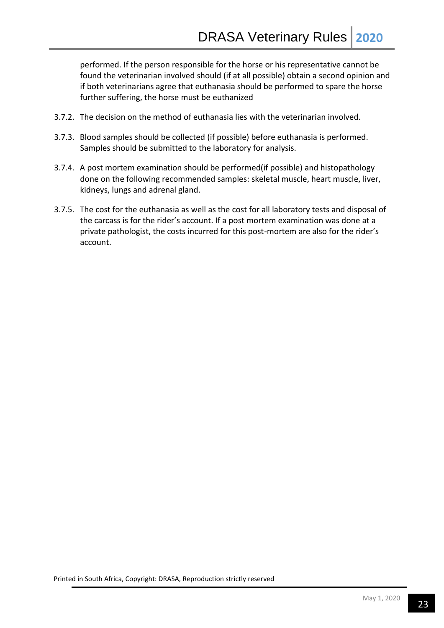performed. If the person responsible for the horse or his representative cannot be found the veterinarian involved should (if at all possible) obtain a second opinion and if both veterinarians agree that euthanasia should be performed to spare the horse further suffering, the horse must be euthanized

- 3.7.2. The decision on the method of euthanasia lies with the veterinarian involved.
- 3.7.3. Blood samples should be collected (if possible) before euthanasia is performed. Samples should be submitted to the laboratory for analysis.
- 3.7.4. A post mortem examination should be performed(if possible) and histopathology done on the following recommended samples: skeletal muscle, heart muscle, liver, kidneys, lungs and adrenal gland.
- 3.7.5. The cost for the euthanasia as well as the cost for all laboratory tests and disposal of the carcass is for the rider's account. If a post mortem examination was done at a private pathologist, the costs incurred for this post-mortem are also for the rider's account.